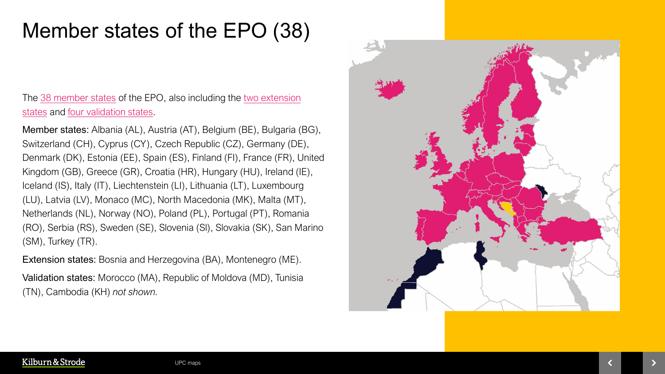## Member states of the EPO (38)

The [38 member states](https://www.epo.org/about-us/foundation/member-states.html) of the EPO, also including the [two extension](https://www.epo.org/about-us/foundation/extension-states.html) states and [four validation states.](https://www.epo.org/about-us/foundation/validation-states.html)

Member states: Albania (AL), Austria (AT), Belgium (BE), Bulgaria (BG), Switzerland (CH), Cyprus (CY), Czech Republic (CZ), Germany (DE), Denmark (DK), Estonia (EE), Spain (ES), Finland (FI), France (FR), United Kingdom (GB), Greece (GR), Croatia (HR), Hungary (HU), Ireland (IE), Iceland (IS), Italy (IT), Liechtenstein (LI), Lithuania (LT), Luxembourg (LU), Latvia (LV), Monaco (MC), North Macedonia (MK), Malta (MT), Netherlands (NL), Norway (NO), Poland (PL), Portugal (PT), Romania (RO), Serbia (RS), Sweden (SE), Slovenia (Sl), Slovakia (SK), San Marino (SM), Turkey (TR).

Extension states: Bosnia and Herzegovina (BA), Montenegro (ME).

Validation states: Morocco (MA), Republic of Moldova (MD), Tunisia (TN), Cambodia (KH) *not shown.*

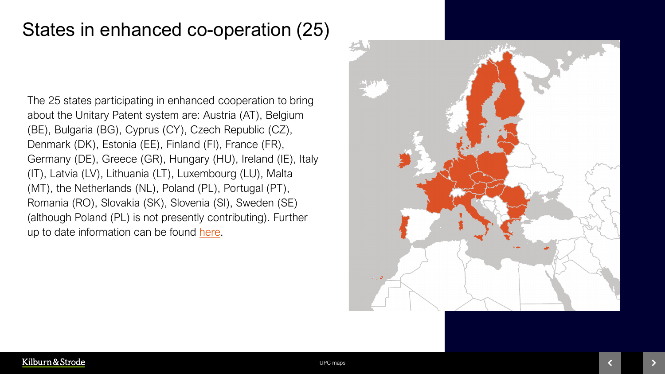## States in enhanced co-operation (25)

The 25 states participating in enhanced cooperation to bring about the Unitary Patent system are: Austria (AT), Belgium (BE), Bulgaria (BG), Cyprus (CY), Czech Republic (CZ), Denmark (DK), Estonia (EE), Finland (FI), France (FR), Germany (DE), Greece (GR), Hungary (HU), Ireland (IE), Italy (IT), Latvia (LV), Lithuania (LT), Luxembourg (LU), Malta (MT), the Netherlands (NL), Poland (PL), Portugal (PT), Romania (RO), Slovakia (SK), Slovenia (SI), Sweden (SE) (although Poland (PL) is not presently contributing). Further up to date information can be found [here](https://www.consilium.europa.eu/en/documents-publications/treaties-agreements/agreement/?id=2013001).